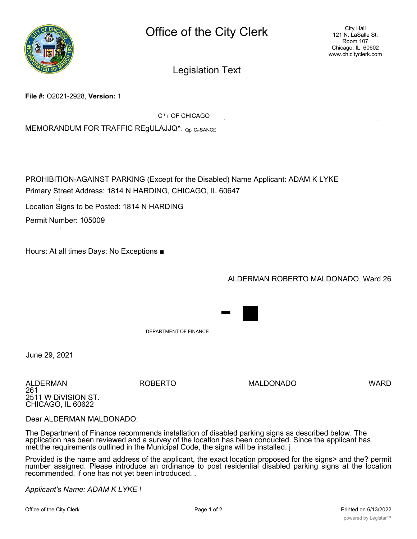

Legislation Text

**File #:** O2021-2928, **Version:** 1

C<sup>r</sup>rOF CHICAGO

MEMORANDUM FOR TRAFFIC REGULAJJQ^. Qp C<sub>"</sub>SANCE

PROHIBITION-AGAINST PARKING (Except for the Disabled) Name Applicant: ADAM K LYKE Primary Street Address: 1814 N HARDING, CHICAGO, IL 60647

i Location Signs to be Posted: 1814 N HARDING

Permit Number: 105009

l

Hours: At all times Days: No Exceptions ■

ALDERMAN ROBERTO MALDONADO, Ward 26

! - .'..".".

DEPARTMENT OF FINANCE

June 29, 2021

ALDERMAN ROBERTO MALDONADO WARD 261 2511 W DiVISION ST. CHICAGO, IL 60622

- ■

Dear ALDERMAN MALDONADO:

The Department of Finance recommends installation of disabled parking signs as described below. The application has been reviewed and a survey of the location has been conducted. Since the applicant has met:the requirements outlined in the Municipal Code, the signs will be installed. j

Provided is the name and address of the applicant, the exact location proposed for the signs> and the? permit number assigned. Please introduce an ordinance to post residential disabled parking signs at the location recommended, if one has not yet been introduced. .

*Applicant's Name: ADAM K LYKE \*